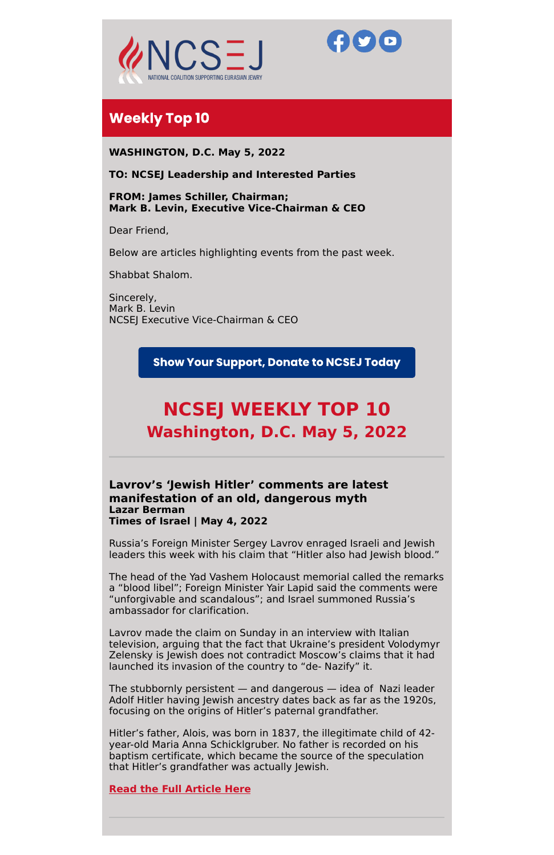



# **Weekly Top 10**

**WASHINGTON, D.C. May 5, 2022**

# **TO: NCSEJ Leadership and Interested Parties**

**FROM: James Schiller, Chairman; Mark B. Levin, Executive Vice-Chairman & CEO**

Dear Friend,

Below are articles highlighting events from the past week.

Shabbat Shalom.

Sincerely, Mark B. Levin NCSEJ Executive Vice-Chairman & CEO

**Show Your Support, Donate to NCSEJ Today** 

# **NCSEJ WEEKLY TOP 10 Washington, D.C. May 5, 2022**

**Lavrov's 'Jewish Hitler' comments are latest manifestation of an old, dangerous myth Lazar Berman Times of Israel | May 4, 2022**

Russia's Foreign Minister Sergey Lavrov enraged Israeli and Jewish leaders this week with his claim that "Hitler also had Jewish blood."

The head of the Yad Vashem Holocaust memorial called the remarks a "blood libel"; Foreign Minister Yair Lapid said the comments were "unforgivable and scandalous"; and Israel summoned Russia's ambassador for clarification.

Lavrov made the claim on Sunday in an interview with Italian television, arguing that the fact that Ukraine's president Volodymyr Zelensky is Jewish does not contradict Moscow's claims that it had launched its invasion of the country to "de- Nazify" it.

The stubbornly persistent — and dangerous — idea of Nazi leader Adolf Hitler having Jewish ancestry dates back as far as the 1920s, focusing on the origins of Hitler's paternal grandfather.

Hitler's father, Alois, was born in 1837, the illegitimate child of 42 year-old Maria Anna Schicklgruber. No father is recorded on his baptism certificate, which became the source of the speculation that Hitler's grandfather was actually Jewish.

**Read the Full [Article](https://www.timesofisrael.com/lavrovs-jewish-hitler-comments-are-latest-manifestation-of-an-old-dangerous-myth/) Here**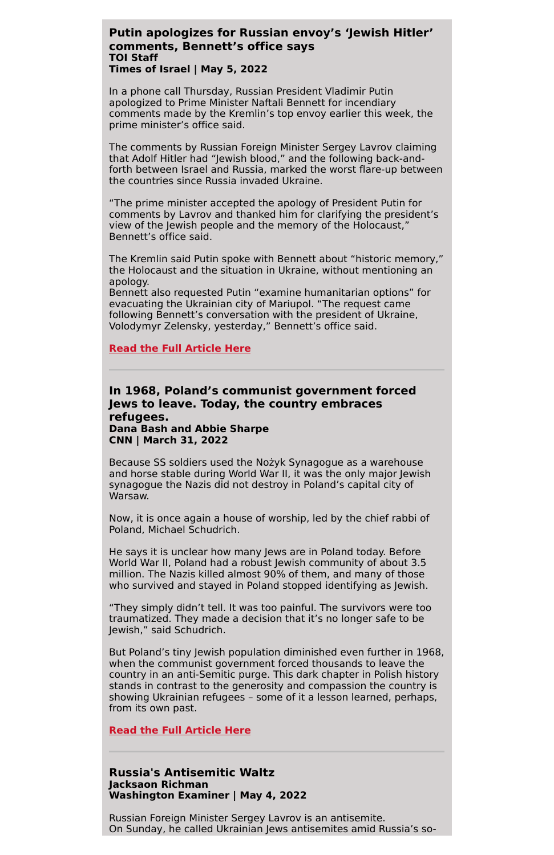# **Putin apologizes for Russian envoy's 'Jewish Hitler' comments, Bennett's office says TOI Staff Times of Israel | May 5, 2022**

In a phone call Thursday, Russian President Vladimir Putin apologized to Prime Minister Naftali Bennett for incendiary comments made by the Kremlin's top envoy earlier this week, the prime minister's office said.

The comments by Russian Foreign Minister Sergey Lavrov claiming that Adolf Hitler had "Jewish blood," and the following back-andforth between Israel and Russia, marked the worst flare-up between the countries since Russia invaded Ukraine.

"The prime minister accepted the apology of President Putin for comments by Lavrov and thanked him for clarifying the president's view of the Jewish people and the memory of the Holocaust," Bennett's office said.

The Kremlin said Putin spoke with Bennett about "historic memory," the Holocaust and the situation in Ukraine, without mentioning an apology.

Bennett also requested Putin "examine humanitarian options" for evacuating the Ukrainian city of Mariupol. "The request came following Bennett's conversation with the president of Ukraine, Volodymyr Zelensky, yesterday," Bennett's office said.

#### **Read the Full [Article](https://www.timesofisrael.com/putin-apologizes-for-russian-envoys-hitler-comments-bennetts-office-says/?utm_source=dlvr.it&utm_medium=twitter) Here**

# **In 1968, Poland's communist government forced Jews to leave. Today, the country embraces refugees. Dana Bash and Abbie Sharpe CNN | March 31, 2022**

Because SS soldiers used the Nożyk Synagogue as a warehouse and horse stable during World War II, it was the only major Jewish synagogue the Nazis did not destroy in Poland's capital city of Warsaw.

Now, it is once again a house of worship, led by the chief rabbi of Poland, Michael Schudrich.

He says it is unclear how many Jews are in Poland today. Before World War II, Poland had a robust Jewish community of about 3.5 million. The Nazis killed almost 90% of them, and many of those who survived and stayed in Poland stopped identifying as Jewish.

"They simply didn't tell. It was too painful. The survivors were too traumatized. They made a decision that it's no longer safe to be

Jewish," said Schudrich.

But Poland's tiny Jewish population diminished even further in 1968, when the communist government forced thousands to leave the country in an anti-Semitic purge. This dark chapter in Polish history stands in contrast to the generosity and compassion the country is showing Ukrainian refugees – some of it a lesson learned, perhaps, from its own past.

**Read the Full [Article](https://www.cnn.com/2022/05/01/politics/poland-anti-semitic-history-ukrainian-refugees/index.html) Here**

**Russia's Antisemitic Waltz Jacksaon Richman Washington Examiner | May 4, 2022**

Russian Foreign Minister Sergey Lavrov is an antisemite. On Sunday, he called Ukrainian Jews antisemites amid Russia's so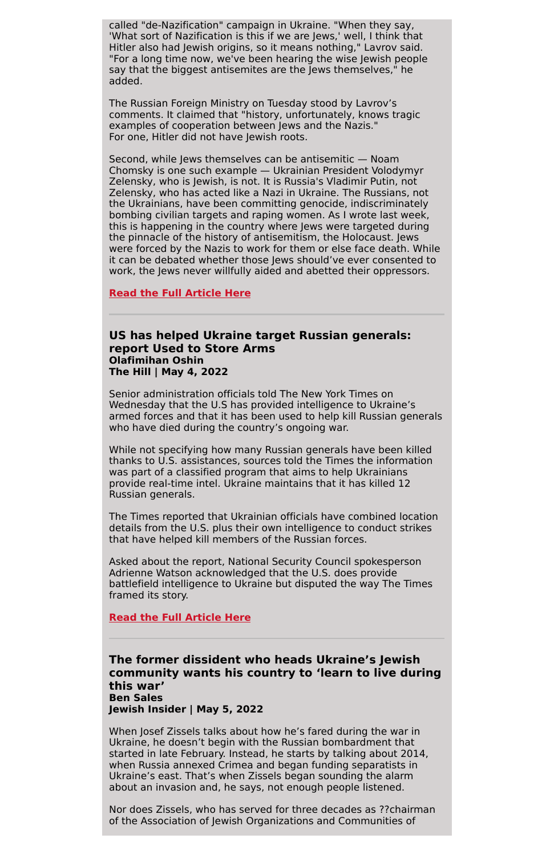called "de-Nazification" campaign in Ukraine. "When they say, 'What sort of Nazification is this if we are Jews,' well, I think that Hitler also had Jewish origins, so it means nothing," Lavrov said. "For a long time now, we've been hearing the wise Jewish people say that the biggest antisemites are the Jews themselves," he added.

The Russian Foreign Ministry on Tuesday stood by Lavrov's comments. It claimed that "history, unfortunately, knows tragic examples of cooperation between Jews and the Nazis." For one, Hitler did not have Jewish roots.

Second, while Jews themselves can be antisemitic — Noam Chomsky is one such example — Ukrainian President Volodymyr Zelensky, who is Jewish, is not. It is Russia's Vladimir Putin, not Zelensky, who has acted like a Nazi in Ukraine. The Russians, not the Ukrainians, have been committing genocide, indiscriminately bombing civilian targets and raping women. As I wrote last week, this is happening in the country where Jews were targeted during the pinnacle of the history of antisemitism, the Holocaust. Jews were forced by the Nazis to work for them or else face death. While it can be debated whether those Jews should've ever consented to work, the Jews never willfully aided and abetted their oppressors.

**Read the Full [Article](https://www.washingtonexaminer.com/opinion/russias-antisemitic-waltz) Here**

# **US has helped Ukraine target Russian generals: report Used to Store Arms Olafimihan Oshin The Hill | May 4, 2022**

Senior administration officials told The New York Times on Wednesday that the U.S has provided intelligence to Ukraine's armed forces and that it has been used to help kill Russian generals who have died during the country's ongoing war.

While not specifying how many Russian generals have been killed thanks to U.S. assistances, sources told the Times the information was part of a classified program that aims to help Ukrainians provide real-time intel. Ukraine maintains that it has killed 12 Russian generals.

The Times reported that Ukrainian officials have combined location details from the U.S. plus their own intelligence to conduct strikes that have helped kill members of the Russian forces.

Asked about the report, National Security Council spokesperson Adrienne Watson acknowledged that the U.S. does provide battlefield intelligence to Ukraine but disputed the way The Times framed its story.

# **Read the Full [Article](https://thehill.com/policy/defense/3477744-us-has-helped-ukraine-target-russian-generals-report/) Here**

# **The former dissident who heads Ukraine's Jewish community wants his country to 'learn to live during this war' Ben Sales Jewish Insider | May 5, 2022**

When Josef Zissels talks about how he's fared during the war in Ukraine, he doesn't begin with the Russian bombardment that started in late February. Instead, he starts by talking about 2014, when Russia annexed Crimea and began funding separatists in Ukraine's east. That's when Zissels began sounding the alarm about an invasion and, he says, not enough people listened.

Nor does Zissels, who has served for three decades as ??chairman of the Association of Jewish Organizations and Communities of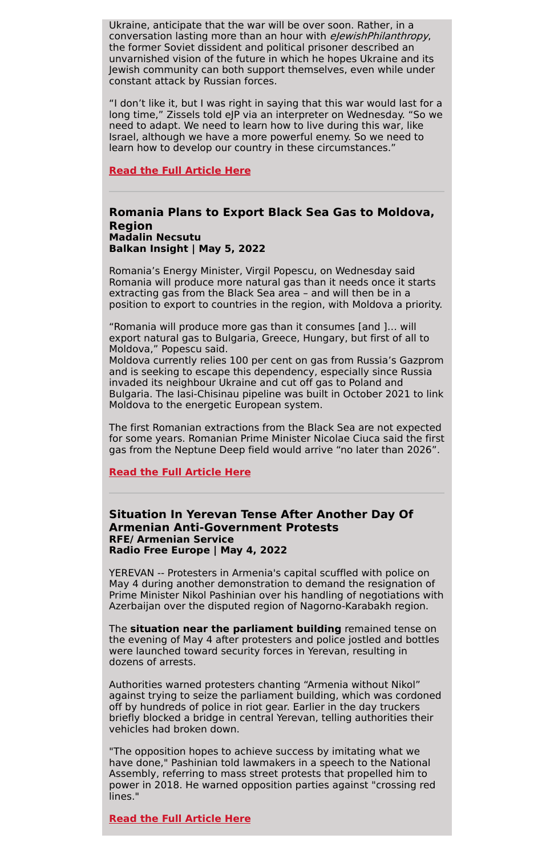Ukraine, anticipate that the war will be over soon. Rather, in a conversation lasting more than an hour with *elewishPhilanthropy*, the former Soviet dissident and political prisoner described an unvarnished vision of the future in which he hopes Ukraine and its Jewish community can both support themselves, even while under constant attack by Russian forces.

"I don't like it, but I was right in saying that this war would last for a long time," Zissels told eJP via an interpreter on Wednesday. "So we need to adapt. We need to learn how to live during this war, like Israel, although we have a more powerful enemy. So we need to learn how to develop our country in these circumstances."

# **Read the Full [Article](https://ejewishphilanthropy.com/the-former-dissident-who-heads-ukraines-jewish-community-wants-his-country-to-learn-to-live-during-this-war/) Here**

# **Romania Plans to Export Black Sea Gas to Moldova, Region Madalin Necsutu Balkan Insight | May 5, 2022**

Romania's Energy Minister, Virgil Popescu, on Wednesday said Romania will produce more natural gas than it needs once it starts extracting gas from the Black Sea area – and will then be in a position to export to countries in the region, with Moldova a priority.

"Romania will produce more gas than it consumes [and ]… will export natural gas to Bulgaria, Greece, Hungary, but first of all to Moldova," Popescu said.

Moldova currently relies 100 per cent on gas from Russia's Gazprom and is seeking to escape this dependency, especially since Russia invaded its neighbour Ukraine and cut off gas to Poland and Bulgaria. The Iasi-Chisinau pipeline was built in October 2021 to link Moldova to the energetic European system.

The first Romanian extractions from the Black Sea are not expected for some years. Romanian Prime Minister Nicolae Ciuca said the first gas from the Neptune Deep field would arrive "no later than 2026".

#### **Read the Full [Article](https://balkaninsight.com/2022/05/05/romania-plans-to-export-black-sea-gas-to-moldova-region/) Here**

# **Situation In Yerevan Tense After Another Day Of Armenian Anti-Government Protests RFE/ Armenian Service Radio Free Europe | May 4, 2022**

YEREVAN -- Protesters in Armenia's capital scuffled with police on May 4 during another demonstration to demand the resignation of Prime Minister Nikol Pashinian over his handling of negotiations with Azerbaijan over the disputed region of Nagorno-Karabakh region.

The **situation near the parliament building** remained tense on the evening of May 4 after protesters and police jostled and bottles were launched toward security forces in Yerevan, resulting in dozens of arrests.

Authorities warned protesters chanting "Armenia without Nikol" against trying to seize the parliament building, which was cordoned off by hundreds of police in riot gear. Earlier in the day truckers briefly blocked a bridge in central Yerevan, telling authorities their vehicles had broken down.

"The opposition hopes to achieve success by imitating what we have done," Pashinian told lawmakers in a speech to the National Assembly, referring to mass street protests that propelled him to power in 2018. He warned opposition parties against "crossing red lines."

**Read the Full [Article](https://www.rferl.org/a/protests-armenia-clashes-pashinian-karabakh/31834592.html) Here**